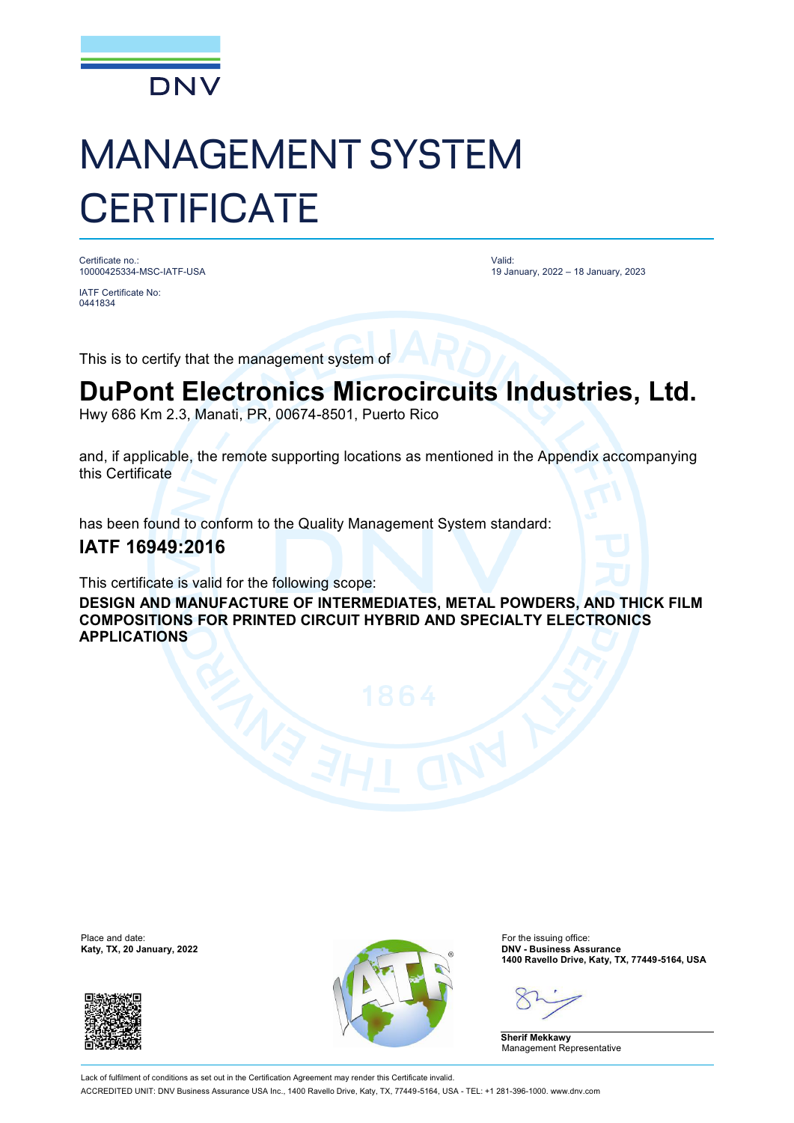

## MANAGEMENT SYSTEM **CERTIFICATE**

Certificate no.: 10000425334-MSC-IATF-USA

IATF Certificate No: 0441834

Valid: 19 January, 2022 – 18 January, 2023

This is to certify that the management system of

## **DuPont Electronics Microcircuits Industries, Ltd.**

Hwy 686 Km 2.3, Manati, PR, 00674-8501, Puerto Rico

and, if applicable, the remote supporting locations as mentioned in the Appendix accompanying this Certificate

has been found to conform to the Quality Management System standard:

## **IATF 16949:2016**

This certificate is valid for the following scope:

**DESIGN AND MANUFACTURE OF INTERMEDIATES, METAL POWDERS, AND THICK FILM COMPOSITIONS FOR PRINTED CIRCUIT HYBRID AND SPECIALTY ELECTRONICS APPLICATIONS**





**1400 Ravello Drive, Katy, TX, 77449-5164, USA**

**Sherif Mekkawy** Management Representative